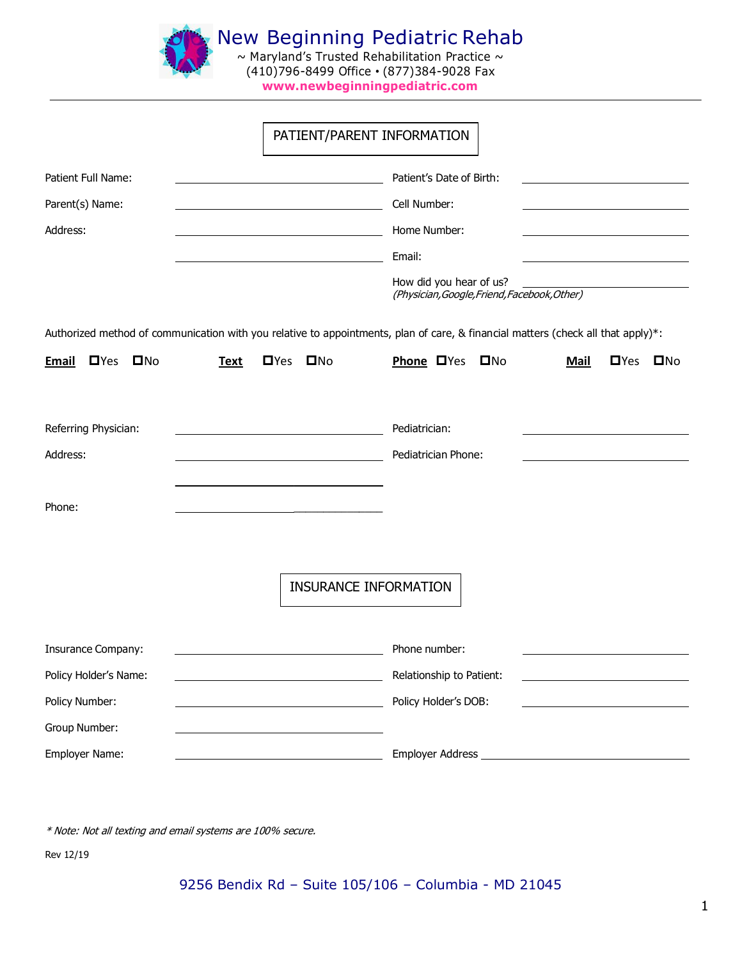

|                                                                                                                                  |             |               | PATIENT/PARENT INFORMATION   |                          |  |                                              |                          |  |
|----------------------------------------------------------------------------------------------------------------------------------|-------------|---------------|------------------------------|--------------------------|--|----------------------------------------------|--------------------------|--|
| Patient Full Name:                                                                                                               |             |               |                              | Patient's Date of Birth: |  |                                              |                          |  |
| Parent(s) Name:                                                                                                                  |             |               |                              | Cell Number:             |  |                                              |                          |  |
| Address:                                                                                                                         |             |               |                              | Home Number:             |  |                                              |                          |  |
|                                                                                                                                  |             |               |                              | Email:                   |  |                                              |                          |  |
|                                                                                                                                  |             |               |                              | How did you hear of us?  |  | (Physician, Google, Friend, Facebook, Other) |                          |  |
| Authorized method of communication with you relative to appointments, plan of care, & financial matters (check all that apply)*: |             |               |                              |                          |  |                                              |                          |  |
| $\square$ Yes<br>$\square$ No<br><b>Email</b>                                                                                    | <b>Text</b> | $\square$ Yes | $\square$ No                 | Phone DYes DNo           |  | <b>Mail</b>                                  | <b>O</b> Yes <b>O</b> No |  |
| Referring Physician:                                                                                                             |             |               |                              | Pediatrician:            |  |                                              |                          |  |
| Address:                                                                                                                         |             |               |                              | Pediatrician Phone:      |  |                                              |                          |  |
| Phone:                                                                                                                           |             |               |                              |                          |  |                                              |                          |  |
|                                                                                                                                  |             |               |                              |                          |  |                                              |                          |  |
|                                                                                                                                  |             |               | <b>INSURANCE INFORMATION</b> |                          |  |                                              |                          |  |
| <b>Insurance Company:</b>                                                                                                        |             |               |                              | Phone number:            |  |                                              |                          |  |
| Policy Holder's Name:                                                                                                            |             |               |                              | Relationship to Patient: |  |                                              |                          |  |
| Policy Number:                                                                                                                   |             |               |                              | Policy Holder's DOB:     |  |                                              |                          |  |
| Group Number:                                                                                                                    |             |               |                              |                          |  |                                              |                          |  |
| Employer Name:                                                                                                                   |             |               |                              |                          |  |                                              |                          |  |

\* Note: Not all texting and email systems are 100% secure.

Rev 12/19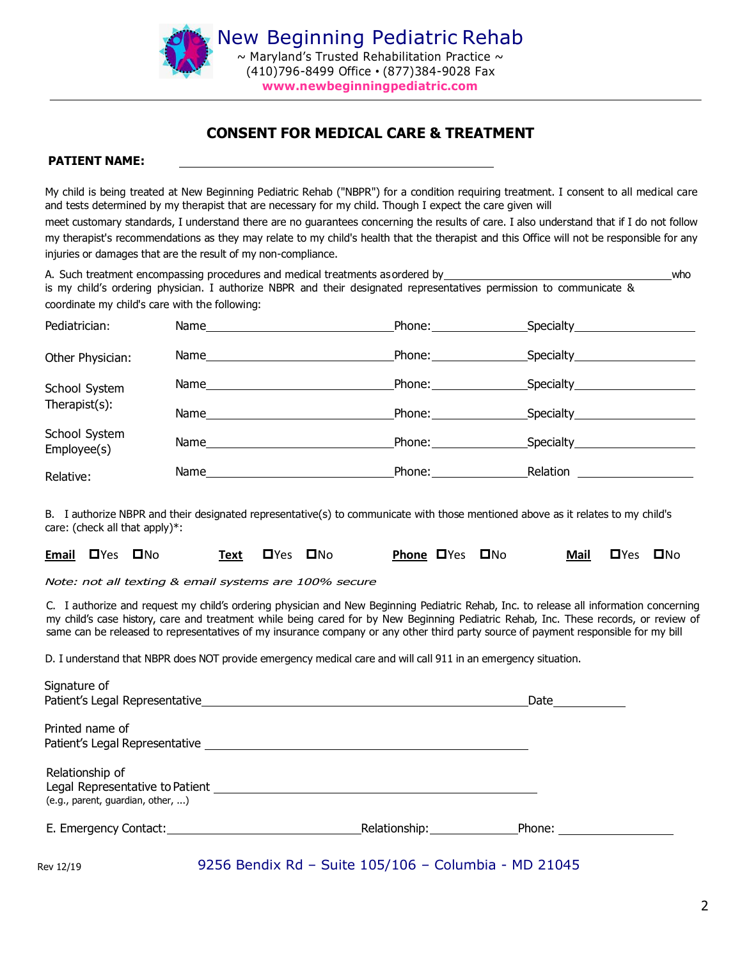

## CONSENT FOR MEDICAL CARE & TREATMENT

#### PATIENT NAME:

My child is being treated at New Beginning Pediatric Rehab ("NBPR") for a condition requiring treatment. I consent to all medical care and tests determined by my therapist that are necessary for my child. Though I expect the care given will

meet customary standards, I understand there are no guarantees concerning the results of care. I also understand that if I do not follow my therapist's recommendations as they may relate to my child's health that the therapist and this Office will not be responsible for any injuries or damages that are the result of my non-compliance.

A. Such treatment encompassing procedures and medical treatments asordered by who who who who is my child's ordering physician. I authorize NBPR and their designated representatives permission to communicate & coordinate my child's care with the following:

| Pediatrician:                  |                                                                                                                                                                                                                                | Phone: Phone:                                                                                                                                                                                                                                                                                                                                                                                                                      | Specialty_________________ |  |
|--------------------------------|--------------------------------------------------------------------------------------------------------------------------------------------------------------------------------------------------------------------------------|------------------------------------------------------------------------------------------------------------------------------------------------------------------------------------------------------------------------------------------------------------------------------------------------------------------------------------------------------------------------------------------------------------------------------------|----------------------------|--|
| Other Physician:               |                                                                                                                                                                                                                                | Phone: ___________                                                                                                                                                                                                                                                                                                                                                                                                                 | Specialty_______________   |  |
| School System<br>Therapist(s): |                                                                                                                                                                                                                                |                                                                                                                                                                                                                                                                                                                                                                                                                                    | Specialty ______________   |  |
|                                |                                                                                                                                                                                                                                | Phone: $\frac{1}{2}$                                                                                                                                                                                                                                                                                                                                                                                                               | Specialty_____________     |  |
| School System<br>Employee(s)   |                                                                                                                                                                                                                                | Phone: and the state of the state of the state of the state of the state of the state of the state of the state of the state of the state of the state of the state of the state of the state of the state of the state of the                                                                                                                                                                                                     |                            |  |
| Relative:                      | Name and the contract of the contract of the contract of the contract of the contract of the contract of the contract of the contract of the contract of the contract of the contract of the contract of the contract of the c | Phone: $\frac{1}{\sqrt{1-\frac{1}{2}}\cdot\sqrt{1-\frac{1}{2}}\cdot\sqrt{1-\frac{1}{2}}\cdot\sqrt{1-\frac{1}{2}}\cdot\sqrt{1-\frac{1}{2}}\cdot\sqrt{1-\frac{1}{2}}\cdot\sqrt{1-\frac{1}{2}}\cdot\sqrt{1-\frac{1}{2}}\cdot\sqrt{1-\frac{1}{2}}\cdot\sqrt{1-\frac{1}{2}}\cdot\sqrt{1-\frac{1}{2}}\cdot\sqrt{1-\frac{1}{2}}\cdot\sqrt{1-\frac{1}{2}}\cdot\sqrt{1-\frac{1}{2}}\cdot\sqrt{1-\frac{1}{2}}\cdot\sqrt{1-\frac{1}{2}}\cdot$ | Relation                   |  |

B. I authorize NBPR and their designated representative(s) to communicate with those mentioned above as it relates to my child's care: (check all that apply)\*:

|  | Email OYes ONo |  | Text DYes DNo |  |  |  | <b>Phone OYes ONo</b> |  | Mail DYes DNo |  |  |
|--|----------------|--|---------------|--|--|--|-----------------------|--|---------------|--|--|
|--|----------------|--|---------------|--|--|--|-----------------------|--|---------------|--|--|

Note: not all texting & email systems are 100% secure

C. I authorize and request my child's ordering physician and New Beginning Pediatric Rehab, Inc. to release all information concerning my child's case history, care and treatment while being cared for by New Beginning Pediatric Rehab, Inc. These records, or review of same can be released to representatives of my insurance company or any other third party source of payment responsible for my bill

D. I understand that NBPR does NOT provide emergency medical care and will call 911 in an emergency situation.

| Signature of                      |                          |        |  |
|-----------------------------------|--------------------------|--------|--|
| Patient's Legal Representative    |                          | Date   |  |
| Printed name of                   |                          |        |  |
| Patient's Legal Representative    |                          |        |  |
| Relationship of                   |                          |        |  |
| Legal Representative to Patient   |                          |        |  |
| (e.g., parent, guardian, other, ) |                          |        |  |
| E. Emergency Contact:             | Relationship: __________ | Phone: |  |
|                                   |                          |        |  |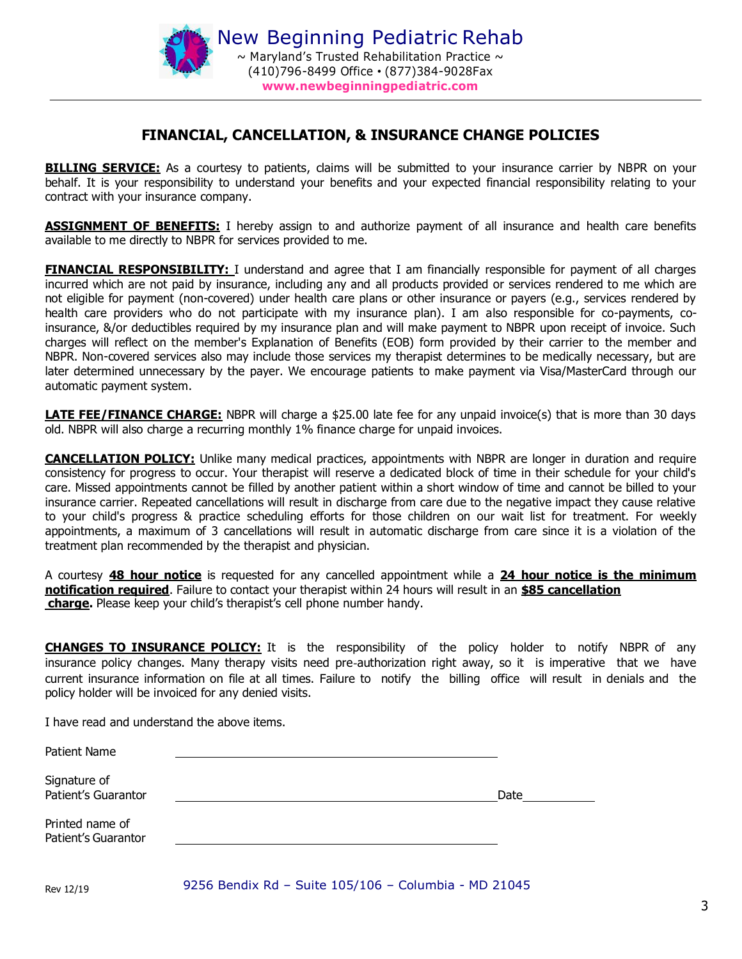

## FINANCIAL, CANCELLATION, & INSURANCE CHANGE POLICIES

**BILLING SERVICE:** As a courtesy to patients, claims will be submitted to your insurance carrier by NBPR on your behalf. It is your responsibility to understand your benefits and your expected financial responsibility relating to your contract with your insurance company.

**ASSIGNMENT OF BENEFITS:** I hereby assign to and authorize payment of all insurance and health care benefits available to me directly to NBPR for services provided to me.

**FINANCIAL RESPONSIBILITY:** I understand and agree that I am financially responsible for payment of all charges incurred which are not paid by insurance, including any and all products provided or services rendered to me which are not eligible for payment (non-covered) under health care plans or other insurance or payers (e.g., services rendered by health care providers who do not participate with my insurance plan). I am also responsible for co-payments, coinsurance, &/or deductibles required by my insurance plan and will make payment to NBPR upon receipt of invoice. Such charges will reflect on the member's Explanation of Benefits (EOB) form provided by their carrier to the member and NBPR. Non-covered services also may include those services my therapist determines to be medically necessary, but are later determined unnecessary by the payer. We encourage patients to make payment via Visa/MasterCard through our automatic payment system.

**LATE FEE/FINANCE CHARGE:** NBPR will charge a \$25.00 late fee for any unpaid invoice(s) that is more than 30 days old. NBPR will also charge a recurring monthly 1% finance charge for unpaid invoices.

**CANCELLATION POLICY:** Unlike many medical practices, appointments with NBPR are longer in duration and require consistency for progress to occur. Your therapist will reserve a dedicated block of time in their schedule for your child's care. Missed appointments cannot be filled by another patient within a short window of time and cannot be billed to your insurance carrier. Repeated cancellations will result in discharge from care due to the negative impact they cause relative to your child's progress & practice scheduling efforts for those children on our wait list for treatment. For weekly appointments, a maximum of 3 cancellations will result in automatic discharge from care since it is a violation of the treatment plan recommended by the therapist and physician.

A courtesy 48 hour notice is requested for any cancelled appointment while a 24 hour notice is the minimum notification required. Failure to contact your therapist within 24 hours will result in an \$85 cancellation charge. Please keep your child's therapist's cell phone number handy.

**CHANGES TO INSURANCE POLICY:** It is the responsibility of the policy holder to notify NBPR of any insurance policy changes. Many therapy visits need pre‐authorization right away, so it is imperative that we have current insurance information on file at all times. Failure to notify the billing office will result in denials and the policy holder will be invoiced for any denied visits.

I have read and understand the above items.

| Patient Name                           |      |
|----------------------------------------|------|
| Signature of<br>Patient's Guarantor    | Date |
| Printed name of<br>Patient's Guarantor |      |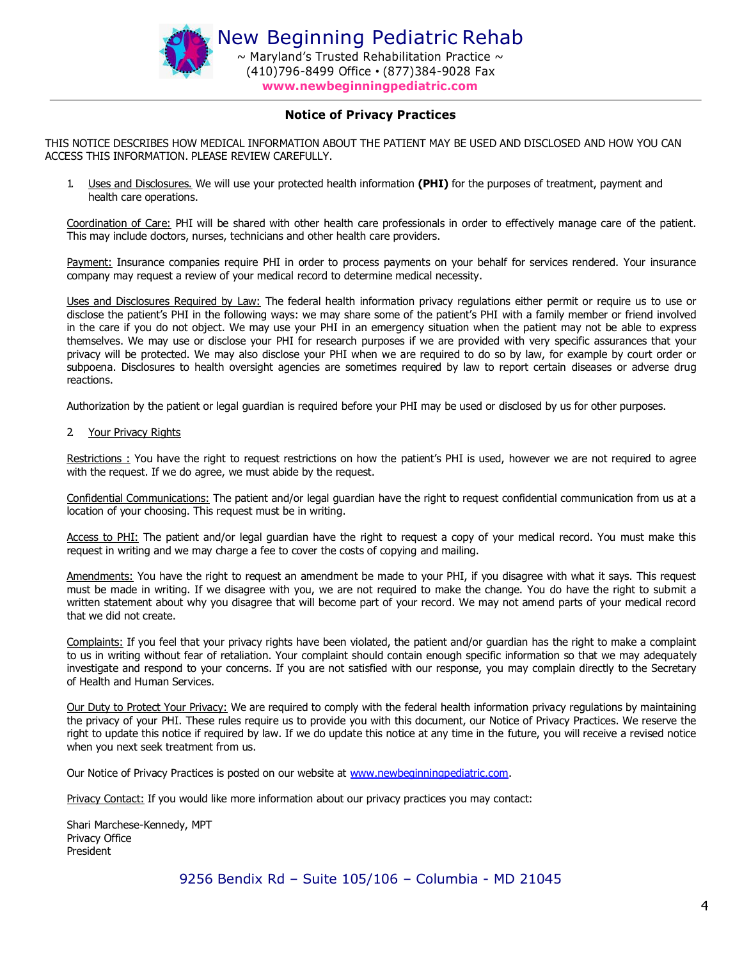

#### Notice of Privacy Practices

THIS NOTICE DESCRIBES HOW MEDICAL INFORMATION ABOUT THE PATIENT MAY BE USED AND DISCLOSED AND HOW YOU CAN ACCESS THIS INFORMATION. PLEASE REVIEW CAREFULLY.

1. Uses and Disclosures. We will use your protected health information (PHI) for the purposes of treatment, payment and health care operations.

Coordination of Care: PHI will be shared with other health care professionals in order to effectively manage care of the patient. This may include doctors, nurses, technicians and other health care providers.

Payment: Insurance companies require PHI in order to process payments on your behalf for services rendered. Your insurance company may request a review of your medical record to determine medical necessity.

Uses and Disclosures Required by Law: The federal health information privacy regulations either permit or require us to use or disclose the patient's PHI in the following ways: we may share some of the patient's PHI with a family member or friend involved in the care if you do not object. We may use your PHI in an emergency situation when the patient may not be able to express themselves. We may use or disclose your PHI for research purposes if we are provided with very specific assurances that your privacy will be protected. We may also disclose your PHI when we are required to do so by law, for example by court order or subpoena. Disclosures to health oversight agencies are sometimes required by law to report certain diseases or adverse drug reactions.

Authorization by the patient or legal guardian is required before your PHI may be used or disclosed by us for other purposes.

#### 2. Your Privacy Rights

Restrictions : You have the right to request restrictions on how the patient's PHI is used, however we are not required to agree with the request. If we do agree, we must abide by the request.

Confidential Communications: The patient and/or legal guardian have the right to request confidential communication from us at a location of your choosing. This request must be in writing.

Access to PHI: The patient and/or legal guardian have the right to request a copy of your medical record. You must make this request in writing and we may charge a fee to cover the costs of copying and mailing.

Amendments: You have the right to request an amendment be made to your PHI, if you disagree with what it says. This request must be made in writing. If we disagree with you, we are not required to make the change. You do have the right to submit a written statement about why you disagree that will become part of your record. We may not amend parts of your medical record that we did not create.

Complaints: If you feel that your privacy rights have been violated, the patient and/or guardian has the right to make a complaint to us in writing without fear of retaliation. Your complaint should contain enough specific information so that we may adequately investigate and respond to your concerns. If you are not satisfied with our response, you may complain directly to the Secretary of Health and Human Services.

Our Duty to Protect Your Privacy: We are required to comply with the federal health information privacy regulations by maintaining the privacy of your PHI. These rules require us to provide you with this document, our Notice of Privacy Practices. We reserve the right to update this notice if required by law. If we do update this notice at any time in the future, you will receive a revised notice when you next seek treatment from us.

Our Notice of Privacy Practices is posted on our website at www.newbeginningpediatric.com.

Privacy Contact: If you would like more information about our privacy practices you may contact:

Shari Marchese-Kennedy, MPT Privacy Office President

9256 Bendix Rd – Suite 105/106 – Columbia - MD 21045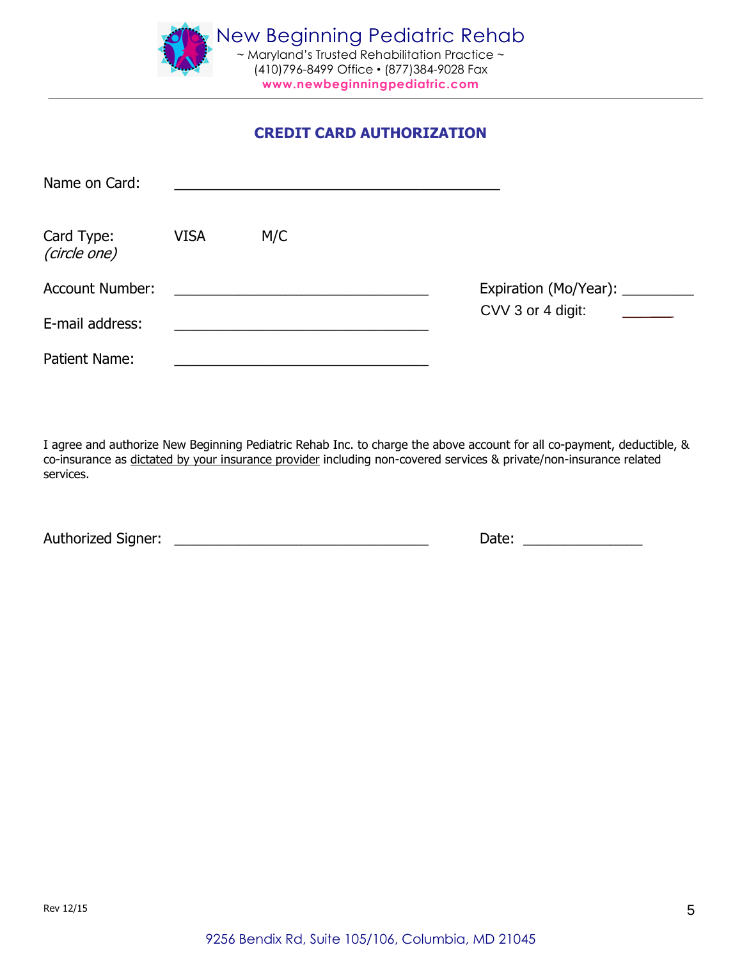

## CREDIT CARD AUTHORIZATION

| Name on Card:              |             |     |                   |  |
|----------------------------|-------------|-----|-------------------|--|
| Card Type:<br>(circle one) | <b>VISA</b> | M/C |                   |  |
| <b>Account Number:</b>     |             |     |                   |  |
| E-mail address:            |             |     | CVV 3 or 4 digit: |  |
| <b>Patient Name:</b>       |             |     |                   |  |

I agree and authorize New Beginning Pediatric Rehab Inc. to charge the above account for all co-payment, deductible, & co-insurance as dictated by your insurance provider including non-covered services & private/non-insurance related services.

Authorized Signer: \_\_\_\_\_\_\_\_\_\_\_\_\_\_\_\_\_\_\_\_\_\_\_\_\_\_\_\_\_\_\_\_ Date: \_\_\_\_\_\_\_\_\_\_\_\_\_\_\_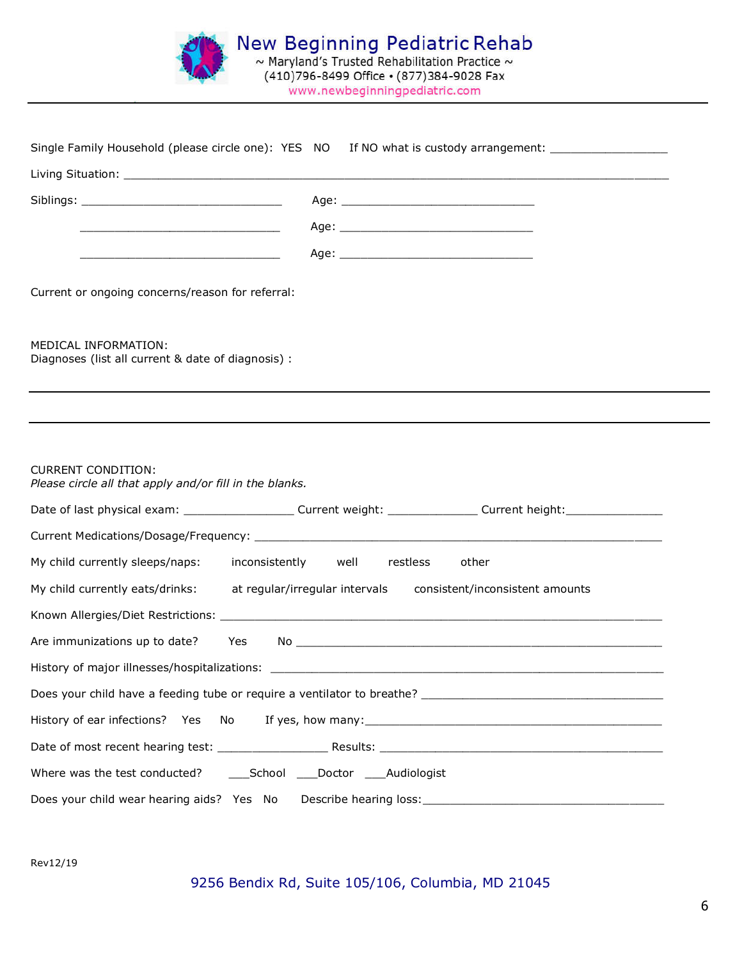

|                                                                                      | Single Family Household (please circle one): YES NO If NO what is custody arrangement: _____________           |
|--------------------------------------------------------------------------------------|----------------------------------------------------------------------------------------------------------------|
|                                                                                      |                                                                                                                |
|                                                                                      |                                                                                                                |
|                                                                                      |                                                                                                                |
| <u> 1989 - Johann Barn, mars ar breithinn ar chwaraeth a bhaile ann an 1984.</u>     |                                                                                                                |
|                                                                                      |                                                                                                                |
| Current or ongoing concerns/reason for referral:                                     |                                                                                                                |
| MEDICAL INFORMATION:<br>Diagnoses (list all current & date of diagnosis) :           |                                                                                                                |
|                                                                                      |                                                                                                                |
| <b>CURRENT CONDITION:</b><br>Please circle all that apply and/or fill in the blanks. |                                                                                                                |
|                                                                                      | Date of last physical exam: ______________________Current weight: _______________ Current height: ____________ |
|                                                                                      |                                                                                                                |
| My child currently sleeps/naps: inconsistently well                                  | restless<br>other                                                                                              |
|                                                                                      | My child currently eats/drinks: at regular/irregular intervals consistent/inconsistent amounts                 |
|                                                                                      |                                                                                                                |
| Are immunizations up to date?<br>Yes                                                 |                                                                                                                |
|                                                                                      |                                                                                                                |
|                                                                                      |                                                                                                                |
| History of ear infections? Yes No                                                    |                                                                                                                |
|                                                                                      |                                                                                                                |
|                                                                                      |                                                                                                                |
| Does your child wear hearing aids? Yes No                                            |                                                                                                                |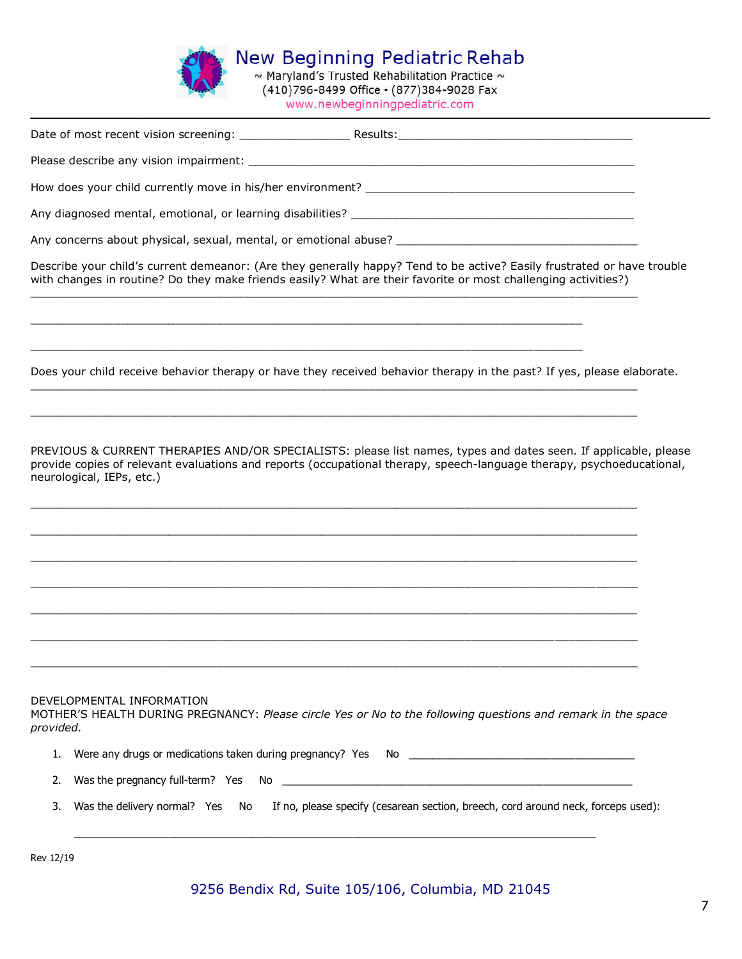

à.

**K** New Beginning Pediatric Reha  $\sim$  Maryland's Trusted Rehabilitation Practice (410)796-8499 Office • (877)384-9028 Fax

www.newbeginningpediatric.com

| Describe your child's current demeanor: (Are they generally happy? Tend to be active? Easily frustrated or have trouble<br>with changes in routine? Do they make friends easily? What are their favorite or most challenging activities?)                             |
|-----------------------------------------------------------------------------------------------------------------------------------------------------------------------------------------------------------------------------------------------------------------------|
|                                                                                                                                                                                                                                                                       |
| Does your child receive behavior therapy or have they received behavior therapy in the past? If yes, please elaborate.                                                                                                                                                |
| PREVIOUS & CURRENT THERAPIES AND/OR SPECIALISTS: please list names, types and dates seen. If applicable, please<br>provide copies of relevant evaluations and reports (occupational therapy, speech-language therapy, psychoeducational,<br>neurological, IEPs, etc.) |
|                                                                                                                                                                                                                                                                       |
| <u> 1989 - Johann Barbara, martxa alemaniar argumentuar argumentuar argumentuar argumentuar argumentuar argumentu</u>                                                                                                                                                 |
| DEVELOPMENTAL INFORMATION<br>MOTHER'S HEALTH DURING PREGNANCY: Please circle Yes or No to the following questions and remark in the space<br>provided.                                                                                                                |
| 1.                                                                                                                                                                                                                                                                    |
| Was the pregnancy full-term? Yes No<br>2.                                                                                                                                                                                                                             |
| Was the delivery normal? Yes<br>If no, please specify (cesarean section, breech, cord around neck, forceps used):<br>3.<br>No                                                                                                                                         |

Rev 12/19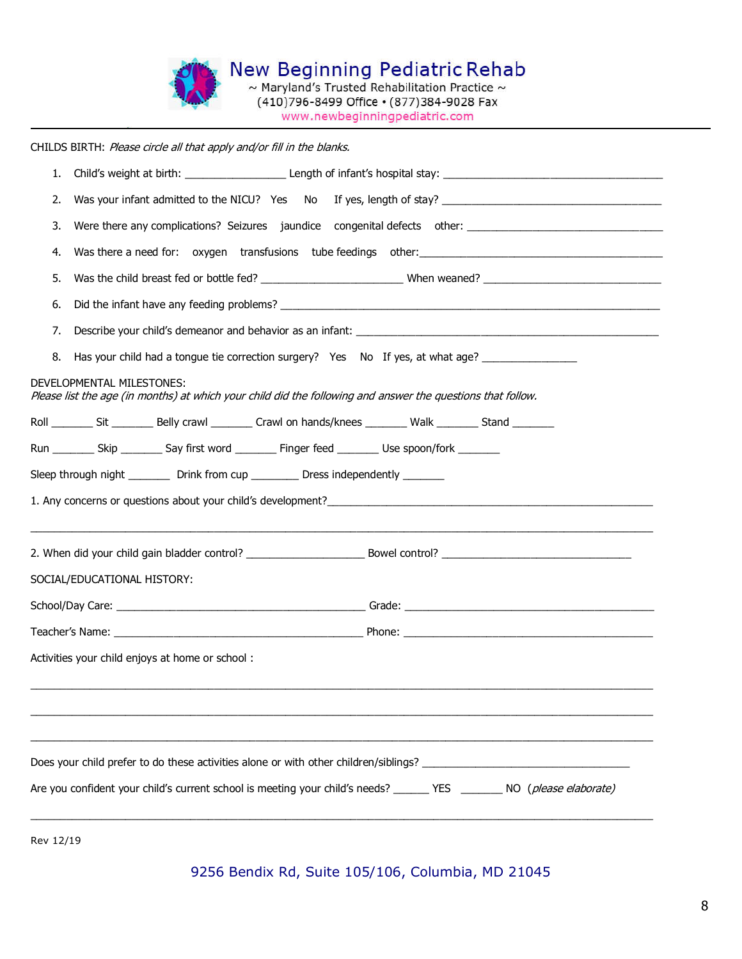

CHILDS BIRTH: Please circle all that apply and/or fill in the blanks.

| 1. |                                                                                                                                          |  |  |  |  |  |
|----|------------------------------------------------------------------------------------------------------------------------------------------|--|--|--|--|--|
| 2. |                                                                                                                                          |  |  |  |  |  |
| 3. |                                                                                                                                          |  |  |  |  |  |
| 4. |                                                                                                                                          |  |  |  |  |  |
| 5. |                                                                                                                                          |  |  |  |  |  |
| 6. |                                                                                                                                          |  |  |  |  |  |
| 7. |                                                                                                                                          |  |  |  |  |  |
| 8. | Has your child had a tongue tie correction surgery? Yes No If yes, at what age?                                                          |  |  |  |  |  |
|    | DEVELOPMENTAL MILESTONES:<br>Please list the age (in months) at which your child did the following and answer the questions that follow. |  |  |  |  |  |
|    | Roll _________ Sit __________ Belly crawl __________ Crawl on hands/knees _________ Walk _________ Stand ________                        |  |  |  |  |  |
|    | Run __________ Skip __________ Say first word _________ Finger feed _________ Use spoon/fork ________                                    |  |  |  |  |  |
|    | Sleep through night _________ Drink from cup _________ Dress independently _______                                                       |  |  |  |  |  |
|    |                                                                                                                                          |  |  |  |  |  |
|    |                                                                                                                                          |  |  |  |  |  |
|    | SOCIAL/EDUCATIONAL HISTORY:                                                                                                              |  |  |  |  |  |
|    |                                                                                                                                          |  |  |  |  |  |
|    |                                                                                                                                          |  |  |  |  |  |
|    | Activities your child enjoys at home or school:                                                                                          |  |  |  |  |  |
|    |                                                                                                                                          |  |  |  |  |  |
|    |                                                                                                                                          |  |  |  |  |  |
|    |                                                                                                                                          |  |  |  |  |  |
|    |                                                                                                                                          |  |  |  |  |  |
|    | Are you confident your child's current school is meeting your child's needs? _______ YES ________ NO ( <i>please elaborate)</i>          |  |  |  |  |  |
|    |                                                                                                                                          |  |  |  |  |  |

Rev 12/19

9256 Bendix Rd, Suite 105/106, Columbia, MD 21045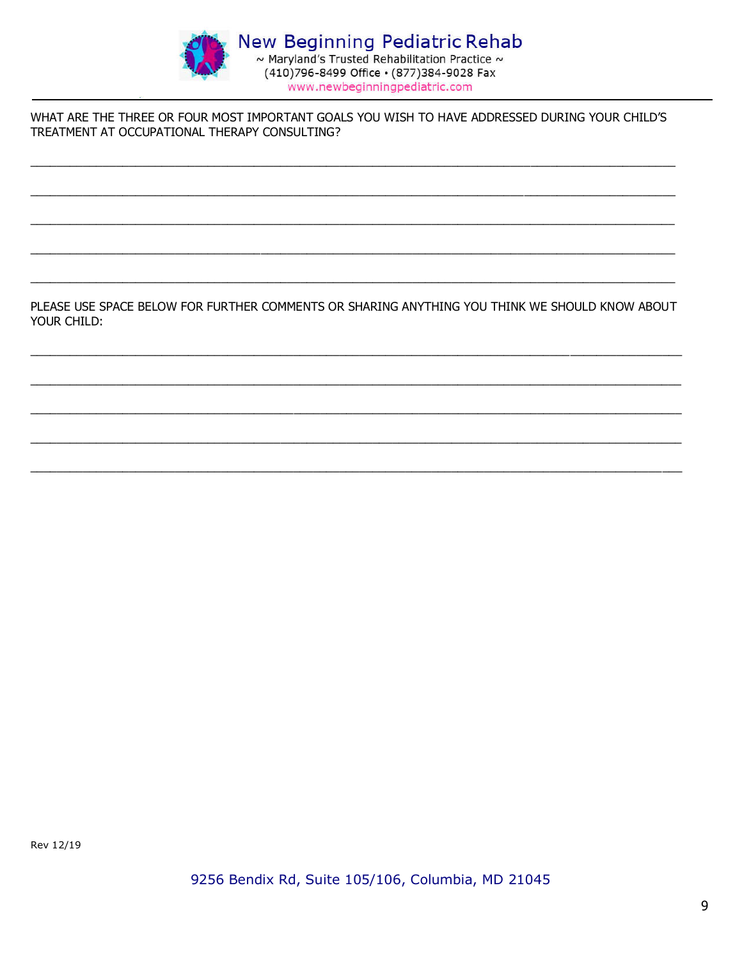

WHAT ARE THE THREE OR FOUR MOST IMPORTANT GOALS YOU WISH TO HAVE ADDRESSED DURING YOUR CHILD'S TREATMENT AT OCCUPATIONAL THERAPY CONSULTING?

PLEASE USE SPACE BELOW FOR FURTHER COMMENTS OR SHARING ANYTHING YOU THINK WE SHOULD KNOW ABOUT YOUR CHILD:

Rev 12/19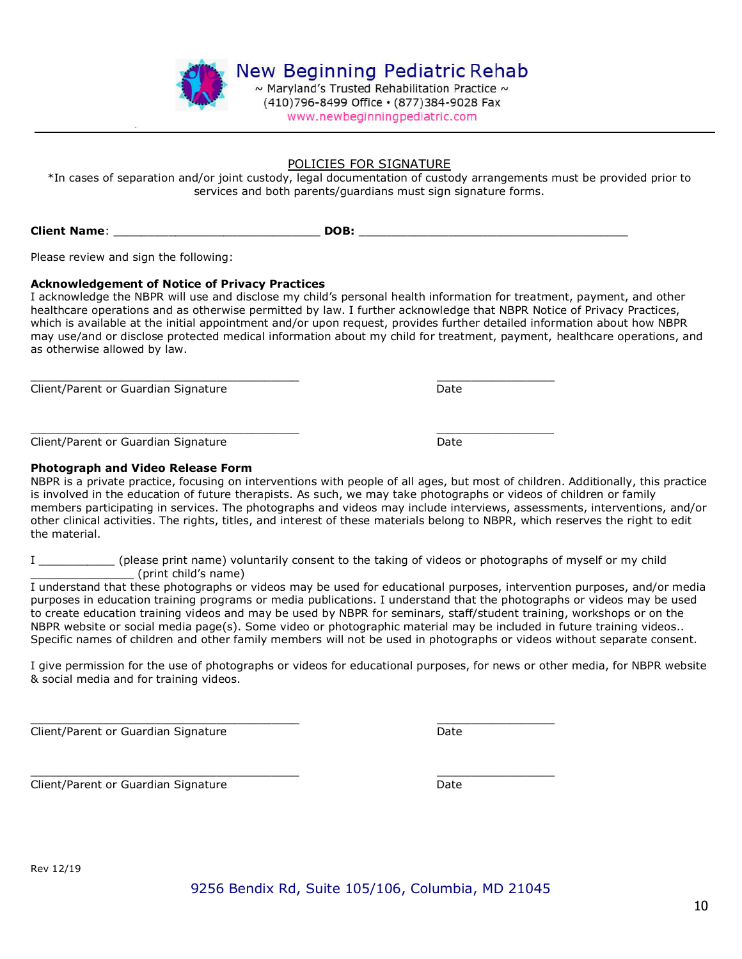

#### POLICIES FOR SIGNATURE

\*In cases of separation and/or joint custody, legal documentation of custody arrangements must be provided prior to services and both parents/guardians must sign signature forms.

Client Name: \_\_\_\_\_\_\_\_\_\_\_\_\_\_\_\_\_\_\_\_\_\_\_\_\_\_\_\_\_\_ DOB: \_\_\_\_\_\_\_\_\_\_\_\_\_\_\_\_\_\_\_\_\_\_\_\_\_\_\_\_\_\_\_\_\_\_\_\_\_\_\_

Please review and sign the following:

#### Acknowledgement of Notice of Privacy Practices

I acknowledge the NBPR will use and disclose my child's personal health information for treatment, payment, and other healthcare operations and as otherwise permitted by law. I further acknowledge that NBPR Notice of Privacy Practices, which is available at the initial appointment and/or upon request, provides further detailed information about how NBPR may use/and or disclose protected medical information about my child for treatment, payment, healthcare operations, and as otherwise allowed by law.

\_\_\_\_\_\_\_\_\_\_\_\_\_\_\_\_\_\_\_\_\_\_\_\_\_\_\_\_\_\_\_\_\_\_\_\_\_\_\_ \_\_\_\_\_\_\_\_\_\_\_\_\_\_\_\_\_ Client/Parent or Guardian Signature **Date** Date

\_\_\_\_\_\_\_\_\_\_\_\_\_\_\_\_\_\_\_\_\_\_\_\_\_\_\_\_\_\_\_\_\_\_\_\_\_\_\_ \_\_\_\_\_\_\_\_\_\_\_\_\_\_\_\_\_ Client/Parent or Guardian Signature **Date** Date

#### Photograph and Video Release Form

NBPR is a private practice, focusing on interventions with people of all ages, but most of children. Additionally, this practice is involved in the education of future therapists. As such, we may take photographs or videos of children or family members participating in services. The photographs and videos may include interviews, assessments, interventions, and/or other clinical activities. The rights, titles, and interest of these materials belong to NBPR, which reserves the right to edit the material.

I \_\_\_\_\_\_\_\_\_\_\_ (please print name) voluntarily consent to the taking of videos or photographs of myself or my child \_\_\_\_\_\_\_\_\_\_\_\_\_\_\_ (print child's name)

I understand that these photographs or videos may be used for educational purposes, intervention purposes, and/or media purposes in education training programs or media publications. I understand that the photographs or videos may be used to create education training videos and may be used by NBPR for seminars, staff/student training, workshops or on the NBPR website or social media page(s). Some video or photographic material may be included in future training videos.. Specific names of children and other family members will not be used in photographs or videos without separate consent.

I give permission for the use of photographs or videos for educational purposes, for news or other media, for NBPR website & social media and for training videos.

\_\_\_\_\_\_\_\_\_\_\_\_\_\_\_\_\_\_\_\_\_\_\_\_\_\_\_\_\_\_\_\_\_\_\_\_\_\_\_ \_\_\_\_\_\_\_\_\_\_\_\_\_\_\_\_\_ Client/Parent or Guardian Signature **Date** Date

\_\_\_\_\_\_\_\_\_\_\_\_\_\_\_\_\_\_\_\_\_\_\_\_\_\_\_\_\_\_\_\_\_\_\_\_\_\_\_ \_\_\_\_\_\_\_\_\_\_\_\_\_\_\_\_\_ Client/Parent or Guardian Signature **Date** Date

10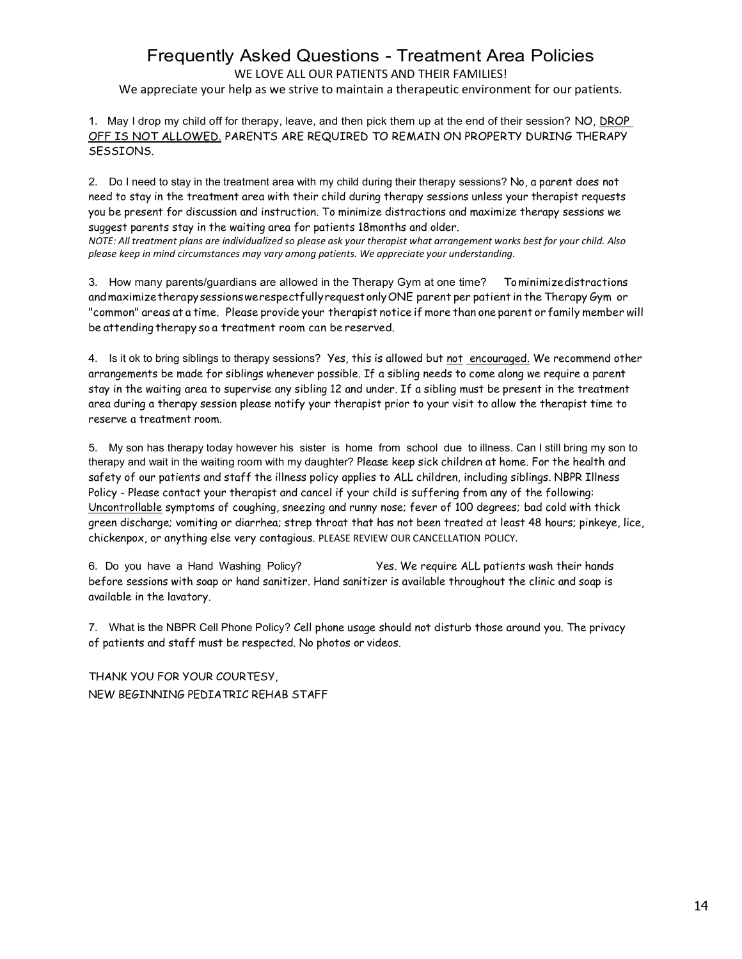# Frequently Asked Questions - Treatment Area Policies

WE LOVE ALL OUR PATIENTS AND THEIR FAMILIES!

We appreciate your help as we strive to maintain a therapeutic environment for our patients.

1. May I drop my child off for therapy, leave, and then pick them up at the end of their session? NO, DROP OFF IS NOT ALLOWED. PARENTS ARE REQUIRED TO REMAIN ON PROPERTY DURING THERAPY SESSIONS.

2. Do I need to stay in the treatment area with my child during their therapy sessions? No, a parent does not need to stay in the treatment area with their child during therapy sessions unless your therapist requests you be present for discussion and instruction. To minimize distractions and maximize therapy sessions we suggest parents stay in the waiting area for patients 18months and older.

NOTE: All treatment plans are individualized so please ask your therapist what arrangement works best for your child. Also please keep in mind circumstances may vary among patients. We appreciate your understanding.

3. How many parents/guardians are allowed in the Therapy Gym at one time? Tominimizedistractions andmaximizetherapysessionswerespectfullyrequestonlyONE parent per patient in the Therapy Gym or "common" areas at a time. Please provide your therapist notice if more than one parent or family member will be attending therapy so a treatment room can be reserved.

4. Is it ok to bring siblings to therapy sessions? Yes, this is allowed but not encouraged. We recommend other arrangements be made for siblings whenever possible. If a sibling needs to come along we require a parent stay in the waiting area to supervise any sibling 12 and under. If a sibling must be present in the treatment area during a therapy session please notify your therapist prior to your visit to allow the therapist time to reserve a treatment room.

5. My son has therapy today however his sister is home from school due to illness. Can I still bring my son to therapy and wait in the waiting room with my daughter? Please keep sick children at home. For the health and safety of our patients and staff the illness policy applies to ALL children, including siblings. NBPR Illness Policy - Please contact your therapist and cancel if your child is suffering from any of the following: Uncontrollable symptoms of coughing, sneezing and runny nose; fever of 100 degrees; bad cold with thick green discharge; vomiting or diarrhea; strep throat that has not been treated at least 48 hours; pinkeye, lice, chickenpox, or anything else very contagious. PLEASE REVIEW OUR CANCELLATION POLICY.

6. Do you have a Hand Washing Policy? Yes. We require ALL patients wash their hands before sessions with soap or hand sanitizer. Hand sanitizer is available throughout the clinic and soap is available in the lavatory.

7. What is the NBPR Cell Phone Policy? Cell phone usage should not disturb those around you. The privacy of patients and staff must be respected. No photos or videos.

THANK YOU FOR YOUR COURTESY, NEW BEGINNING PEDIATRIC REHAB STAFF